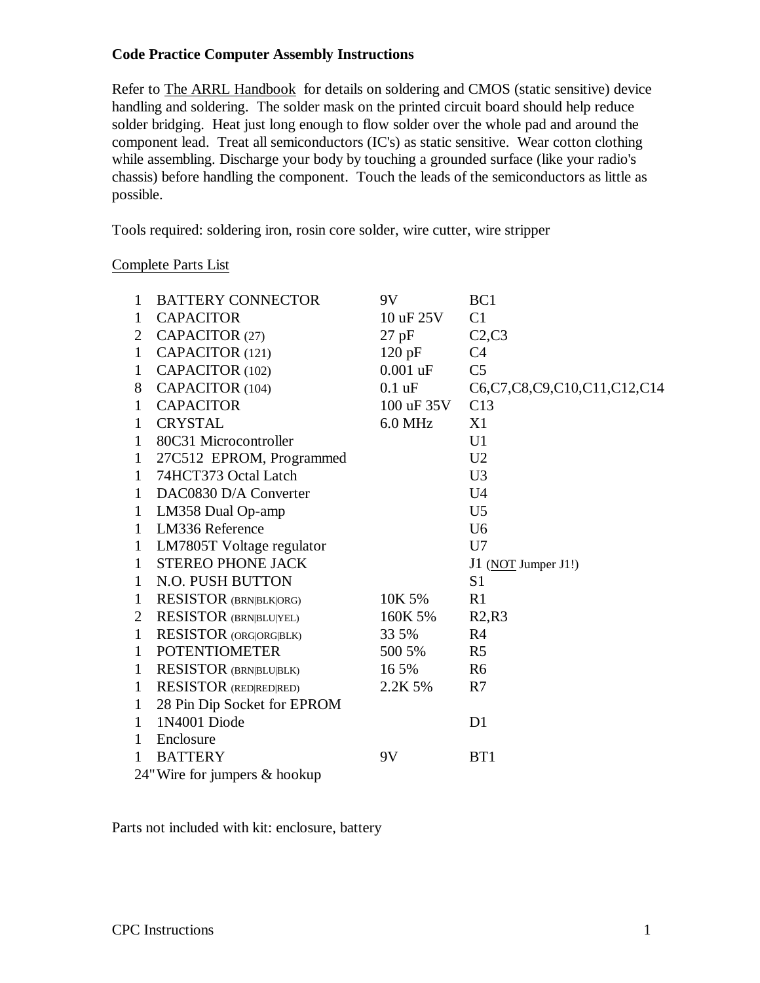# **Code Practice Computer Assembly Instructions**

Refer to The ARRL Handbook for details on soldering and CMOS (static sensitive) device handling and soldering. The solder mask on the printed circuit board should help reduce solder bridging. Heat just long enough to flow solder over the whole pad and around the component lead. Treat all semiconductors (IC's) as static sensitive. Wear cotton clothing while assembling. Discharge your body by touching a grounded surface (like your radio's chassis) before handling the component. Touch the leads of the semiconductors as little as possible.

Tools required: soldering iron, rosin core solder, wire cutter, wire stripper

### Complete Parts List

| $\mathbf{1}$                  | <b>BATTERY CONNECTOR</b>      | 9V             | BC1                         |
|-------------------------------|-------------------------------|----------------|-----------------------------|
| 1                             | <b>CAPACITOR</b>              | 10 uF 25V      | C1                          |
| $\overline{2}$                | CAPACITOR (27)                | $27$ pF        | C2, C3                      |
| $\mathbf{1}$                  | CAPACITOR (121)               | $120$ pF       | C4                          |
| $\mathbf{1}$                  | CAPACITOR (102)               | $0.001$ uF     | C <sub>5</sub>              |
| 8                             | CAPACITOR (104)               | $0.1$ uF       | C6,C7,C8,C9,C10,C11,C12,C14 |
| 1                             | <b>CAPACITOR</b>              | $100$ uF $35V$ | C13                         |
| $\mathbf{1}$                  | <b>CRYSTAL</b>                | 6.0 MHz        | X1                          |
| $\mathbf{1}$                  | 80C31 Microcontroller         |                | U1                          |
| $\mathbf{1}$                  | 27C512 EPROM, Programmed      |                | U <sub>2</sub>              |
| $\mathbf{1}$                  | 74HCT373 Octal Latch          |                | U <sub>3</sub>              |
| $\mathbf{1}$                  | DAC0830 D/A Converter         |                | U <sub>4</sub>              |
| $\mathbf{1}$                  | LM358 Dual Op-amp             |                | U <sub>5</sub>              |
| $\mathbf{1}$                  | LM336 Reference               |                | U <sub>6</sub>              |
| $\mathbf{1}$                  | LM7805T Voltage regulator     |                | U7                          |
| 1                             | <b>STEREO PHONE JACK</b>      |                | $J1$ (NOT Jumper J1!)       |
| 1                             | N.O. PUSH BUTTON              |                | S <sub>1</sub>              |
| $\mathbf{1}$                  | <b>RESISTOR (BRN BLK ORG)</b> | 10K 5%         | R1                          |
| $\overline{2}$                | <b>RESISTOR (BRN BLU YEL)</b> | 160K 5%        | R2,R3                       |
| $\mathbf{1}$                  | RESISTOR (ORG ORG BLK)        | 33 5%          | R4                          |
| $\mathbf{1}$                  | <b>POTENTIOMETER</b>          | 500 5%         | R <sub>5</sub>              |
| $\mathbf{1}$                  | <b>RESISTOR (BRN BLU BLK)</b> | 16 5%          | R <sub>6</sub>              |
| $\mathbf{1}$                  | <b>RESISTOR</b> (RED RED RED) | 2.2K 5%        | R7                          |
| $\mathbf{1}$                  | 28 Pin Dip Socket for EPROM   |                |                             |
| $\mathbf{1}$                  | 1N4001 Diode                  |                | D <sub>1</sub>              |
| $\mathbf{1}$                  | Enclosure                     |                |                             |
| $\mathbf{1}$                  | <b>BATTERY</b>                | 9V             | B <sub>T1</sub>             |
| 24" Wire for jumpers & hookup |                               |                |                             |

Parts not included with kit: enclosure, battery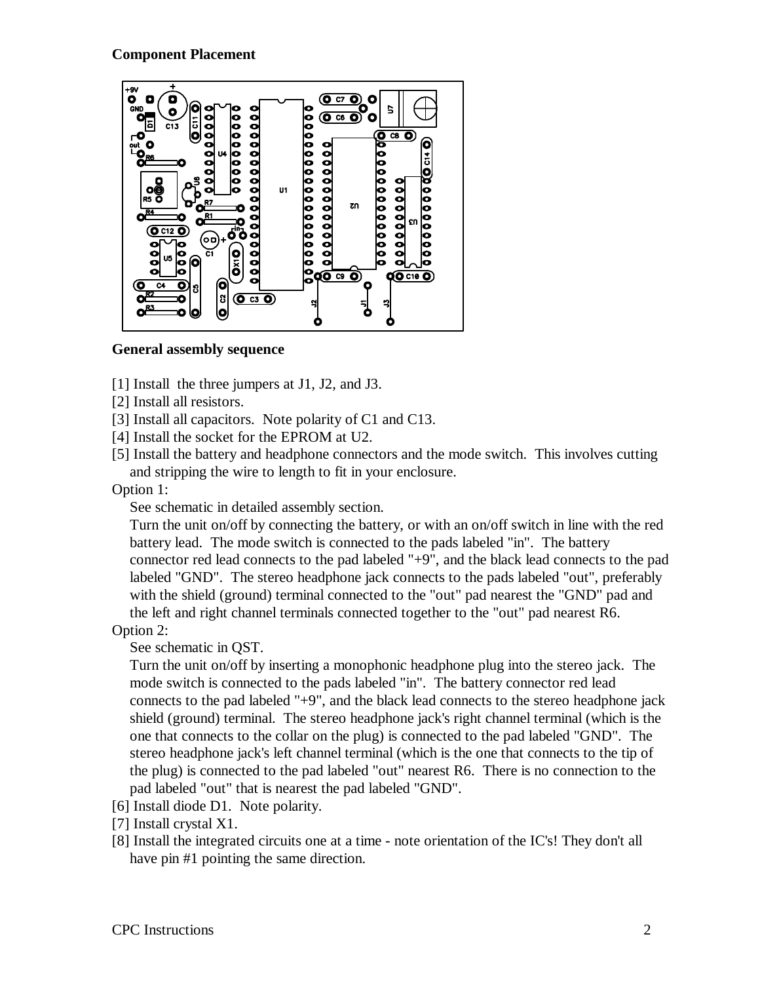# **Component Placement**



### **General assembly sequence**

- [1] Install the three jumpers at J1, J2, and J3.
- [2] Install all resistors.
- [3] Install all capacitors. Note polarity of C1 and C13.
- [4] Install the socket for the EPROM at U2.
- [5] Install the battery and headphone connectors and the mode switch. This involves cutting and stripping the wire to length to fit in your enclosure.

Option 1:

See schematic in detailed assembly section.

Turn the unit on/off by connecting the battery, or with an on/off switch in line with the red battery lead. The mode switch is connected to the pads labeled "in". The battery connector red lead connects to the pad labeled "+9", and the black lead connects to the pad labeled "GND". The stereo headphone jack connects to the pads labeled "out", preferably with the shield (ground) terminal connected to the "out" pad nearest the "GND" pad and the left and right channel terminals connected together to the "out" pad nearest R6.

Option 2:

See schematic in QST.

Turn the unit on/off by inserting a monophonic headphone plug into the stereo jack. The mode switch is connected to the pads labeled "in". The battery connector red lead connects to the pad labeled "+9", and the black lead connects to the stereo headphone jack shield (ground) terminal. The stereo headphone jack's right channel terminal (which is the one that connects to the collar on the plug) is connected to the pad labeled "GND". The stereo headphone jack's left channel terminal (which is the one that connects to the tip of the plug) is connected to the pad labeled "out" nearest R6. There is no connection to the pad labeled "out" that is nearest the pad labeled "GND".

- [6] Install diode D1. Note polarity.
- [7] Install crystal X1.
- [8] Install the integrated circuits one at a time note orientation of the IC's! They don't all have pin #1 pointing the same direction.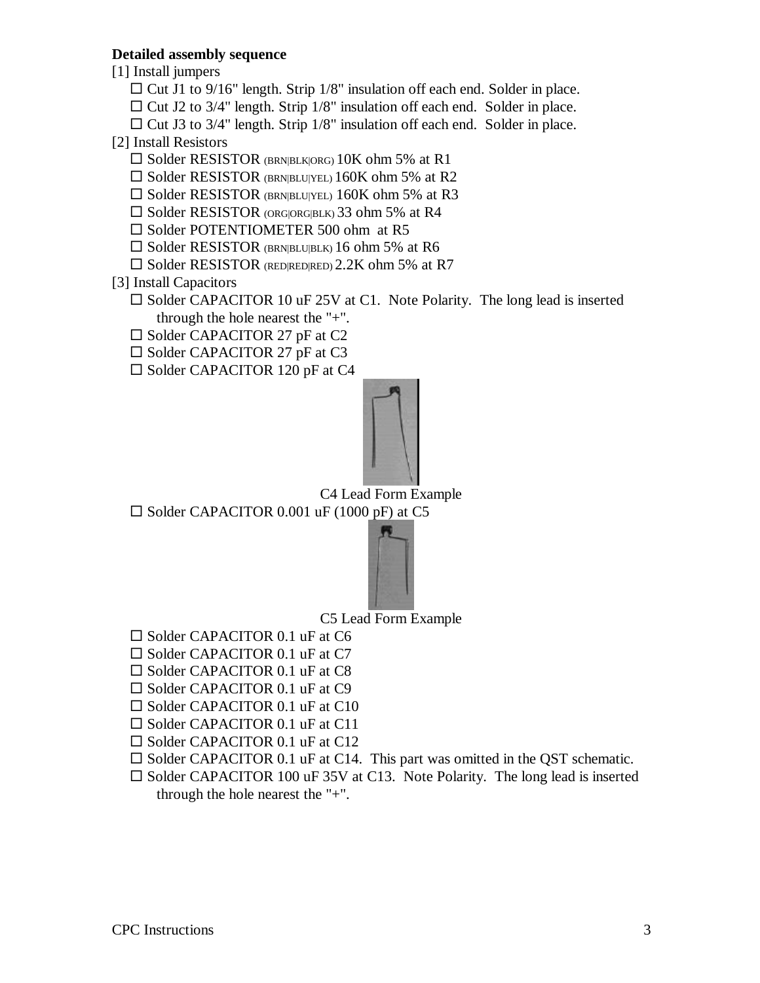# **Detailed assembly sequence**

[1] Install jumpers

- $\Box$  Cut J1 to 9/16" length. Strip 1/8" insulation off each end. Solder in place.
- $\Box$  Cut J2 to 3/4" length. Strip 1/8" insulation off each end. Solder in place.
- $\Box$  Cut J3 to 3/4" length. Strip 1/8" insulation off each end. Solder in place.

#### [2] Install Resistors

- $\square$  Solder RESISTOR (BRN|BLK|ORG) 10K ohm 5% at R1
- $\square$  Solder RESISTOR (BRN|BLU|YEL) 160K ohm 5% at R2
- $\square$  Solder RESISTOR (BRN|BLU|YEL) 160K ohm 5% at R3
- $\square$  Solder RESISTOR (ORG|ORG|BLK) 33 ohm 5% at R4
- $\square$  Solder POTENTIOMETER 500 ohm at R5
- $\square$  Solder RESISTOR (BRN|BLU|BLK) 16 ohm 5% at R6
- $\square$  Solder RESISTOR (RED|RED|RED) 2.2K ohm 5% at R7
- [3] Install Capacitors
	- $\square$  Solder CAPACITOR 10 uF 25V at C1. Note Polarity. The long lead is inserted through the hole nearest the "+".
	- $\square$  Solder CAPACITOR 27 pF at C2
	- $\square$  Solder CAPACITOR 27 pF at C3
	- $\square$  Solder CAPACITOR 120 pF at C4



C4 Lead Form Example

 $\square$  Solder CAPACITOR 0.001 uF (1000 pF) at C5



C5 Lead Form Example

- $\square$  Solder CAPACITOR 0.1 uF at C6
- $\square$  Solder CAPACITOR 0.1 uF at C7
- $\square$  Solder CAPACITOR 0.1 uF at C8
- $\square$  Solder CAPACITOR 0.1 uF at C9
- $\square$  Solder CAPACITOR 0.1 uF at C10
- $\square$  Solder CAPACITOR 0.1 uF at C11
- $\square$  Solder CAPACITOR 0.1 uF at C12
- $\square$  Solder CAPACITOR 0.1 uF at C14. This part was omitted in the QST schematic.
- $\square$  Solder CAPACITOR 100 uF 35V at C13. Note Polarity. The long lead is inserted through the hole nearest the "+".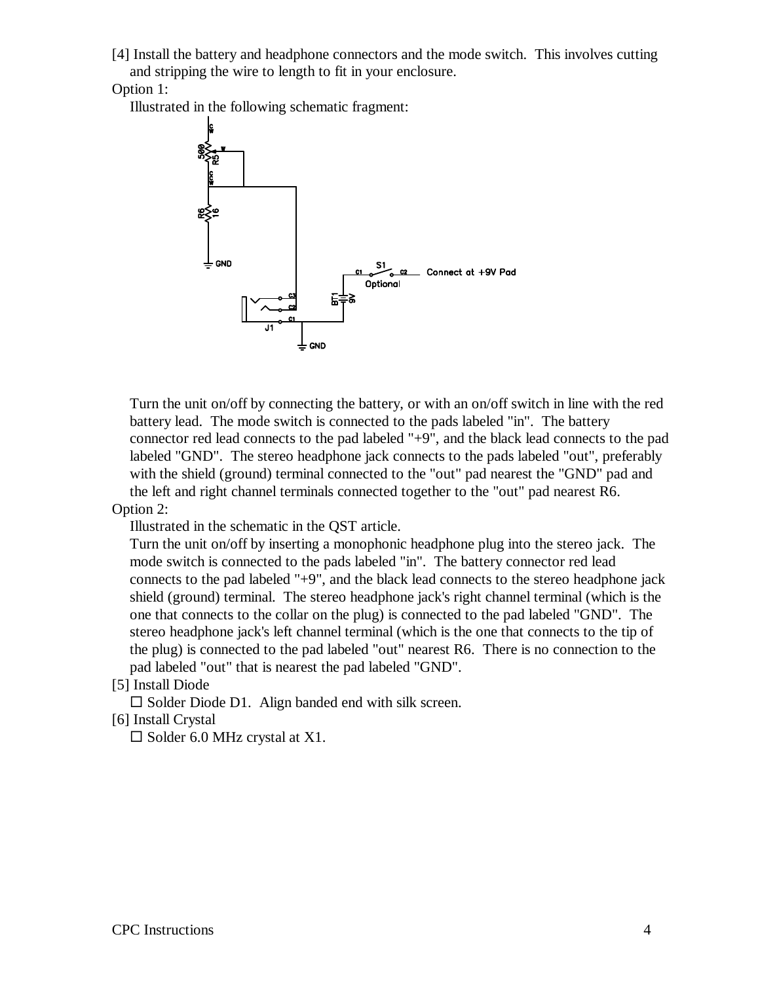[4] Install the battery and headphone connectors and the mode switch. This involves cutting and stripping the wire to length to fit in your enclosure.

Option 1:

Illustrated in the following schematic fragment:



Turn the unit on/off by connecting the battery, or with an on/off switch in line with the red battery lead. The mode switch is connected to the pads labeled "in". The battery connector red lead connects to the pad labeled "+9", and the black lead connects to the pad labeled "GND". The stereo headphone jack connects to the pads labeled "out", preferably with the shield (ground) terminal connected to the "out" pad nearest the "GND" pad and the left and right channel terminals connected together to the "out" pad nearest R6.

# Option 2:

Illustrated in the schematic in the QST article.

Turn the unit on/off by inserting a monophonic headphone plug into the stereo jack. The mode switch is connected to the pads labeled "in". The battery connector red lead connects to the pad labeled "+9", and the black lead connects to the stereo headphone jack shield (ground) terminal. The stereo headphone jack's right channel terminal (which is the one that connects to the collar on the plug) is connected to the pad labeled "GND". The stereo headphone jack's left channel terminal (which is the one that connects to the tip of the plug) is connected to the pad labeled "out" nearest R6. There is no connection to the pad labeled "out" that is nearest the pad labeled "GND".

[5] Install Diode

 $\square$  Solder Diode D1. Align banded end with silk screen.

[6] Install Crystal

 $\square$  Solder 6.0 MHz crystal at X1.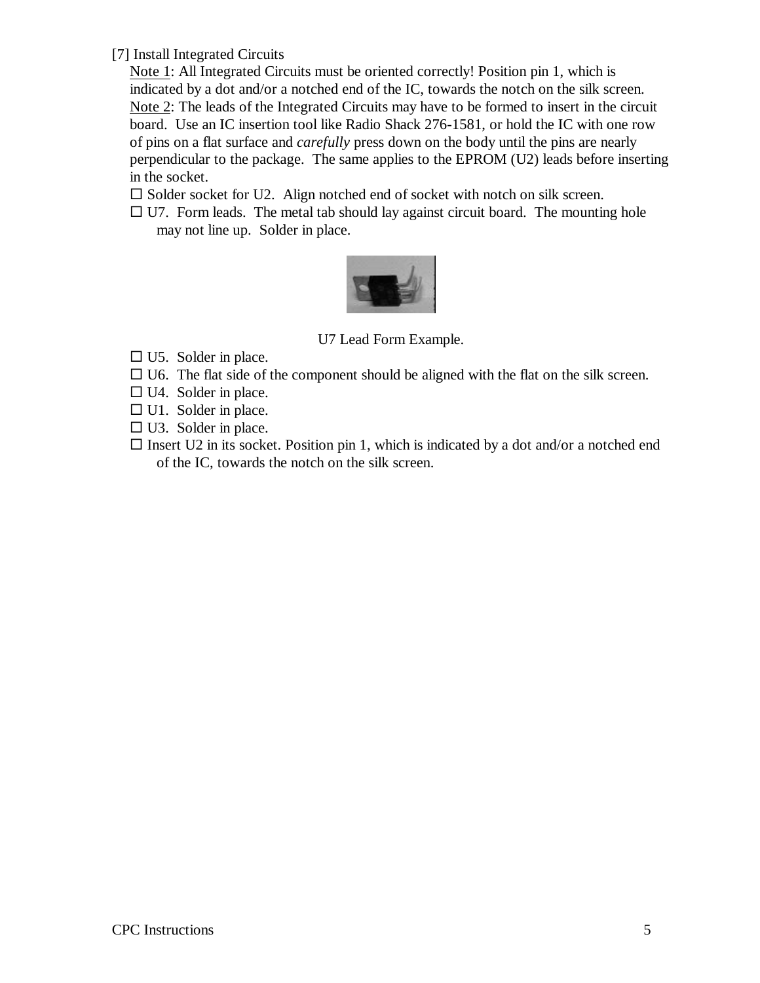[7] Install Integrated Circuits

Note 1: All Integrated Circuits must be oriented correctly! Position pin 1, which is indicated by a dot and/or a notched end of the IC, towards the notch on the silk screen. Note 2: The leads of the Integrated Circuits may have to be formed to insert in the circuit board. Use an IC insertion tool like Radio Shack 276-1581, or hold the IC with one row of pins on a flat surface and *carefully* press down on the body until the pins are nearly perpendicular to the package. The same applies to the EPROM (U2) leads before inserting in the socket.

 $\square$  Solder socket for U2. Align notched end of socket with notch on silk screen.

 $\Box$  U7. Form leads. The metal tab should lay against circuit board. The mounting hole may not line up. Solder in place.



U7 Lead Form Example.

- $\square$  U5. Solder in place.
- $\Box$  U6. The flat side of the component should be aligned with the flat on the silk screen.
- $\Box$  U4. Solder in place.
- $\Box$  U1. Solder in place.
- $\square$  U3. Solder in place.
- $\square$  Insert U2 in its socket. Position pin 1, which is indicated by a dot and/or a notched end of the IC, towards the notch on the silk screen.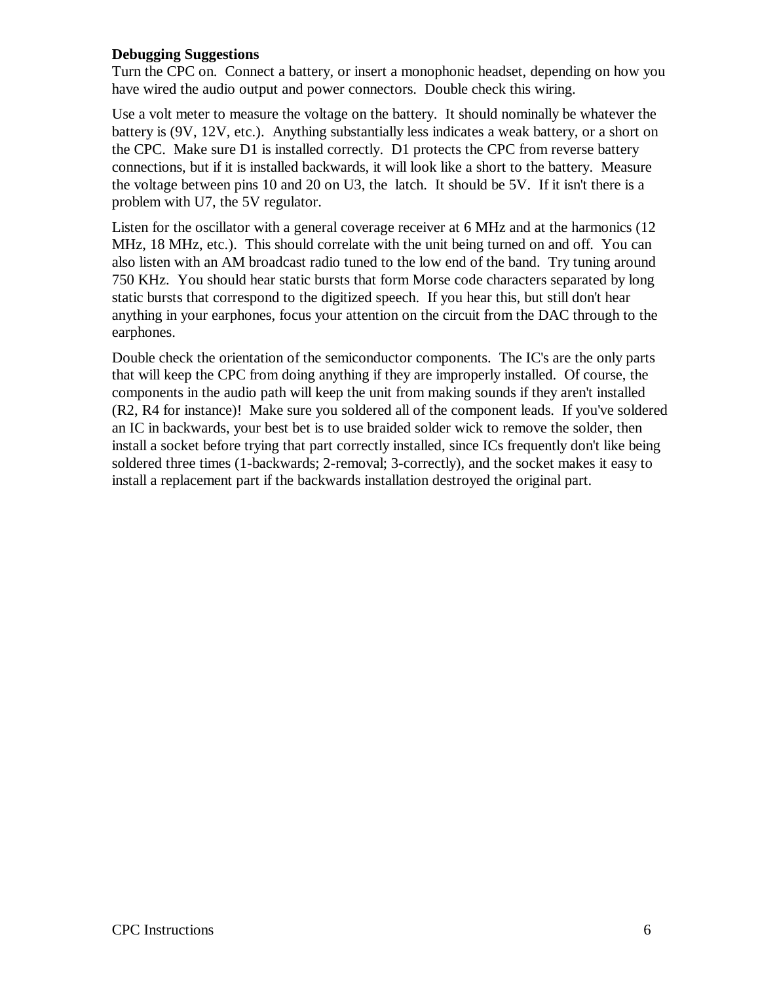# **Debugging Suggestions**

Turn the CPC on. Connect a battery, or insert a monophonic headset, depending on how you have wired the audio output and power connectors. Double check this wiring.

Use a volt meter to measure the voltage on the battery. It should nominally be whatever the battery is (9V, 12V, etc.). Anything substantially less indicates a weak battery, or a short on the CPC. Make sure D1 is installed correctly. D1 protects the CPC from reverse battery connections, but if it is installed backwards, it will look like a short to the battery. Measure the voltage between pins 10 and 20 on U3, the latch. It should be 5V. If it isn't there is a problem with U7, the 5V regulator.

Listen for the oscillator with a general coverage receiver at 6 MHz and at the harmonics (12 MHz, 18 MHz, etc.). This should correlate with the unit being turned on and off. You can also listen with an AM broadcast radio tuned to the low end of the band. Try tuning around 750 KHz. You should hear static bursts that form Morse code characters separated by long static bursts that correspond to the digitized speech. If you hear this, but still don't hear anything in your earphones, focus your attention on the circuit from the DAC through to the earphones.

Double check the orientation of the semiconductor components. The IC's are the only parts that will keep the CPC from doing anything if they are improperly installed. Of course, the components in the audio path will keep the unit from making sounds if they aren't installed (R2, R4 for instance)! Make sure you soldered all of the component leads. If you've soldered an IC in backwards, your best bet is to use braided solder wick to remove the solder, then install a socket before trying that part correctly installed, since ICs frequently don't like being soldered three times (1-backwards; 2-removal; 3-correctly), and the socket makes it easy to install a replacement part if the backwards installation destroyed the original part.